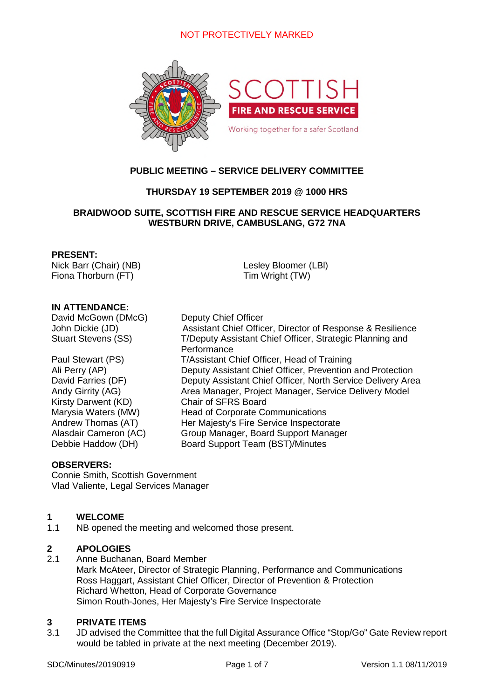

# **PUBLIC MEETING – SERVICE DELIVERY COMMITTEE**

# **THURSDAY 19 SEPTEMBER 2019 @ 1000 HRS**

# **BRAIDWOOD SUITE, SCOTTISH FIRE AND RESCUE SERVICE HEADQUARTERS WESTBURN DRIVE, CAMBUSLANG, G72 7NA**

## **PRESENT:**

Nick Barr (Chair) (NB) Fiona Thorburn (FT)

Lesley Bloomer (LBl) Tim Wright (TW)

## **IN ATTENDANCE:**

David McGown (DMcG) Deputy Chief Officer

Kirsty Darwent (KD) Chair of SFRS Board

John Dickie (JD) Assistant Chief Officer, Director of Response & Resilience Stuart Stevens (SS) T/Deputy Assistant Chief Officer, Strategic Planning and **Performance** Paul Stewart (PS) T/Assistant Chief Officer, Head of Training Ali Perry (AP) Deputy Assistant Chief Officer, Prevention and Protection David Farries (DF) Deputy Assistant Chief Officer, North Service Delivery Area Andy Girrity (AG) Area Manager, Project Manager, Service Delivery Model Marysia Waters (MW) Head of Corporate Communications Andrew Thomas (AT) Her Majesty's Fire Service Inspectorate Alasdair Cameron (AC) Group Manager, Board Support Manager Debbie Haddow (DH) Board Support Team (BST)/Minutes

## **OBSERVERS:**

Connie Smith, Scottish Government Vlad Valiente, Legal Services Manager

## **1 WELCOME**

1.1 NB opened the meeting and welcomed those present.

# **2 APOLOGIES**

2.1 Anne Buchanan, Board Member Mark McAteer, Director of Strategic Planning, Performance and Communications Ross Haggart, Assistant Chief Officer, Director of Prevention & Protection Richard Whetton, Head of Corporate Governance Simon Routh-Jones, Her Majesty's Fire Service Inspectorate

## **3 PRIVATE ITEMS**

3.1 JD advised the Committee that the full Digital Assurance Office "Stop/Go" Gate Review report would be tabled in private at the next meeting (December 2019).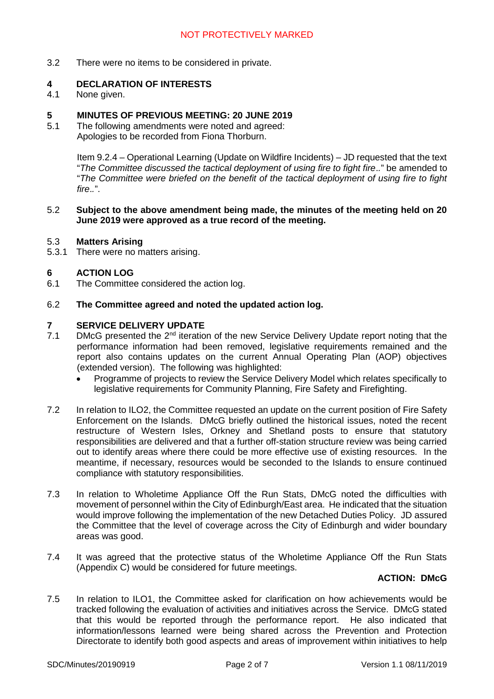3.2 There were no items to be considered in private.

## **4 DECLARATION OF INTERESTS**

4.1 None given.

# **5 MINUTES OF PREVIOUS MEETING: 20 JUNE 2019**<br>5.1 The following amendments were noted and agreed:

The following amendments were noted and agreed: Apologies to be recorded from Fiona Thorburn.

> Item 9.2.4 – Operational Learning (Update on Wildfire Incidents) – JD requested that the text "*The Committee discussed the tactical deployment of using fire to fight fire*.*.*" be amended to "*The Committee were briefed on the benefit of the tactical deployment of using fire to fight fire*.*.*".

## 5.2 **Subject to the above amendment being made, the minutes of the meeting held on 20 June 2019 were approved as a true record of the meeting.**

#### 5.3 **Matters Arising**

5.3.1 There were no matters arising.

## **6 ACTION LOG**

6.1 The Committee considered the action log.

## 6.2 **The Committee agreed and noted the updated action log.**

# **7 SERVICE DELIVERY UPDATE**

- 7.1 DMcG presented the 2<sup>nd</sup> iteration of the new Service Delivery Update report noting that the performance information had been removed, legislative requirements remained and the report also contains updates on the current Annual Operating Plan (AOP) objectives (extended version). The following was highlighted:
	- Programme of projects to review the Service Delivery Model which relates specifically to legislative requirements for Community Planning, Fire Safety and Firefighting.
- 7.2 In relation to ILO2, the Committee requested an update on the current position of Fire Safety Enforcement on the Islands. DMcG briefly outlined the historical issues, noted the recent restructure of Western Isles, Orkney and Shetland posts to ensure that statutory responsibilities are delivered and that a further off-station structure review was being carried out to identify areas where there could be more effective use of existing resources. In the meantime, if necessary, resources would be seconded to the Islands to ensure continued compliance with statutory responsibilities.
- 7.3 In relation to Wholetime Appliance Off the Run Stats, DMcG noted the difficulties with movement of personnel within the City of Edinburgh/East area. He indicated that the situation would improve following the implementation of the new Detached Duties Policy. JD assured the Committee that the level of coverage across the City of Edinburgh and wider boundary areas was good.
- 7.4 It was agreed that the protective status of the Wholetime Appliance Off the Run Stats (Appendix C) would be considered for future meetings.

## **ACTION: DMcG**

7.5 In relation to ILO1, the Committee asked for clarification on how achievements would be tracked following the evaluation of activities and initiatives across the Service. DMcG stated that this would be reported through the performance report. He also indicated that information/lessons learned were being shared across the Prevention and Protection Directorate to identify both good aspects and areas of improvement within initiatives to help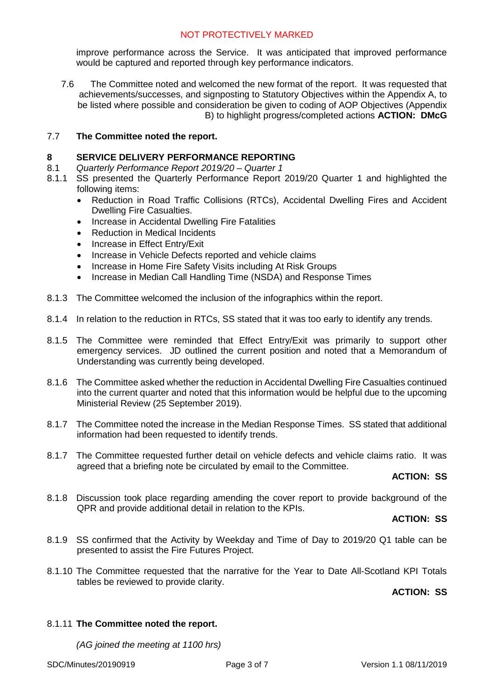improve performance across the Service. It was anticipated that improved performance would be captured and reported through key performance indicators.

7.6 The Committee noted and welcomed the new format of the report. It was requested that achievements/successes, and signposting to Statutory Objectives within the Appendix A, to be listed where possible and consideration be given to coding of AOP Objectives (Appendix B) to highlight progress/completed actions **ACTION: DMcG**

## 7.7 **The Committee noted the report.**

## **8 SERVICE DELIVERY PERFORMANCE REPORTING**

- 8.1 *Quarterly Performance Report 2019/20 Quarter 1*
- 8.1.1 SS presented the Quarterly Performance Report 2019/20 Quarter 1 and highlighted the following items:
	- Reduction in Road Traffic Collisions (RTCs), Accidental Dwelling Fires and Accident Dwelling Fire Casualties.
	- Increase in Accidental Dwelling Fire Fatalities
	- Reduction in Medical Incidents
	- Increase in Effect Entry/Exit
	- Increase in Vehicle Defects reported and vehicle claims
	- Increase in Home Fire Safety Visits including At Risk Groups
	- Increase in Median Call Handling Time (NSDA) and Response Times
- 8.1.3 The Committee welcomed the inclusion of the infographics within the report.
- 8.1.4 In relation to the reduction in RTCs, SS stated that it was too early to identify any trends.
- 8.1.5 The Committee were reminded that Effect Entry/Exit was primarily to support other emergency services. JD outlined the current position and noted that a Memorandum of Understanding was currently being developed.
- 8.1.6 The Committee asked whether the reduction in Accidental Dwelling Fire Casualties continued into the current quarter and noted that this information would be helpful due to the upcoming Ministerial Review (25 September 2019).
- 8.1.7 The Committee noted the increase in the Median Response Times. SS stated that additional information had been requested to identify trends.
- 8.1.7 The Committee requested further detail on vehicle defects and vehicle claims ratio. It was agreed that a briefing note be circulated by email to the Committee.

# **ACTION: SS**

8.1.8 Discussion took place regarding amending the cover report to provide background of the QPR and provide additional detail in relation to the KPIs.

# **ACTION: SS**

- 8.1.9 SS confirmed that the Activity by Weekday and Time of Day to 2019/20 Q1 table can be presented to assist the Fire Futures Project.
- 8.1.10 The Committee requested that the narrative for the Year to Date All-Scotland KPI Totals tables be reviewed to provide clarity.

**ACTION: SS**

# 8.1.11 **The Committee noted the report.**

*(AG joined the meeting at 1100 hrs)*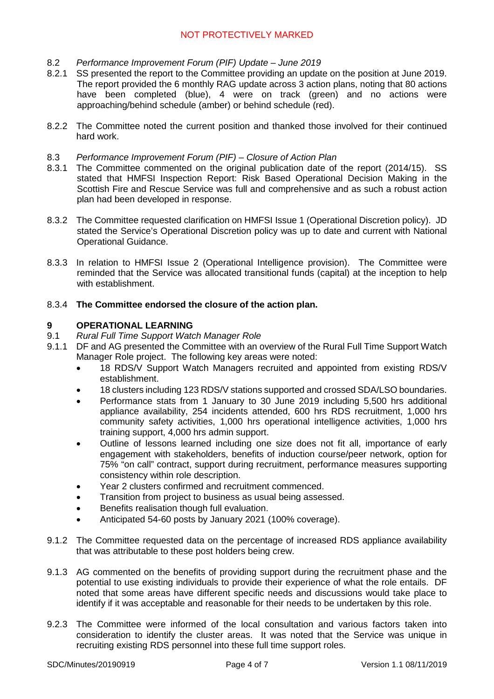- 8.2 *Performance Improvement Forum (PIF) Update June 2019*
- 8.2.1 SS presented the report to the Committee providing an update on the position at June 2019. The report provided the 6 monthly RAG update across 3 action plans, noting that 80 actions have been completed (blue), 4 were on track (green) and no actions were approaching/behind schedule (amber) or behind schedule (red).
- 8.2.2 The Committee noted the current position and thanked those involved for their continued hard work.
- 8.3 *Performance Improvement Forum (PIF) Closure of Action Plan*
- 8.3.1 The Committee commented on the original publication date of the report (2014/15). SS stated that HMFSI Inspection Report: Risk Based Operational Decision Making in the Scottish Fire and Rescue Service was full and comprehensive and as such a robust action plan had been developed in response.
- 8.3.2 The Committee requested clarification on HMFSI Issue 1 (Operational Discretion policy). JD stated the Service's Operational Discretion policy was up to date and current with National Operational Guidance.
- 8.3.3 In relation to HMFSI Issue 2 (Operational Intelligence provision). The Committee were reminded that the Service was allocated transitional funds (capital) at the inception to help with establishment.

## 8.3.4 **The Committee endorsed the closure of the action plan.**

## **9 OPERATIONAL LEARNING**

- 9.1 *Rural Full Time Support Watch Manager Role*
- 9.1.1 DF and AG presented the Committee with an overview of the Rural Full Time Support Watch Manager Role project. The following key areas were noted:
	- 18 RDS/V Support Watch Managers recruited and appointed from existing RDS/V establishment.
	- 18 clusters including 123 RDS/V stations supported and crossed SDA/LSO boundaries.
	- Performance stats from 1 January to 30 June 2019 including 5,500 hrs additional appliance availability, 254 incidents attended, 600 hrs RDS recruitment, 1,000 hrs community safety activities, 1,000 hrs operational intelligence activities, 1,000 hrs training support, 4,000 hrs admin support.
	- Outline of lessons learned including one size does not fit all, importance of early engagement with stakeholders, benefits of induction course/peer network, option for 75% "on call" contract, support during recruitment, performance measures supporting consistency within role description.
	- Year 2 clusters confirmed and recruitment commenced.
	- Transition from project to business as usual being assessed.
	- Benefits realisation though full evaluation.
	- Anticipated 54-60 posts by January 2021 (100% coverage).
- 9.1.2 The Committee requested data on the percentage of increased RDS appliance availability that was attributable to these post holders being crew.
- 9.1.3 AG commented on the benefits of providing support during the recruitment phase and the potential to use existing individuals to provide their experience of what the role entails. DF noted that some areas have different specific needs and discussions would take place to identify if it was acceptable and reasonable for their needs to be undertaken by this role.
- 9.2.3 The Committee were informed of the local consultation and various factors taken into consideration to identify the cluster areas. It was noted that the Service was unique in recruiting existing RDS personnel into these full time support roles.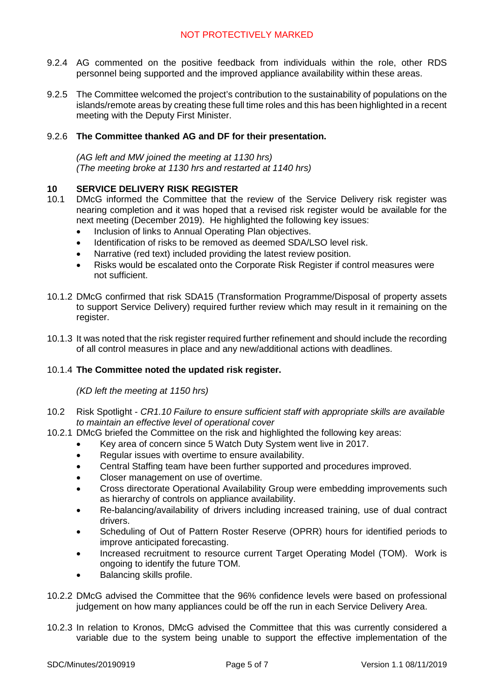- 9.2.4 AG commented on the positive feedback from individuals within the role, other RDS personnel being supported and the improved appliance availability within these areas.
- 9.2.5 The Committee welcomed the project's contribution to the sustainability of populations on the islands/remote areas by creating these full time roles and this has been highlighted in a recent meeting with the Deputy First Minister.

## 9.2.6 **The Committee thanked AG and DF for their presentation.**

*(AG left and MW joined the meeting at 1130 hrs) (The meeting broke at 1130 hrs and restarted at 1140 hrs)*

## **10 SERVICE DELIVERY RISK REGISTER**

- 10.1 DMcG informed the Committee that the review of the Service Delivery risk register was nearing completion and it was hoped that a revised risk register would be available for the next meeting (December 2019). He highlighted the following key issues:
	- Inclusion of links to Annual Operating Plan objectives.
	- Identification of risks to be removed as deemed SDA/LSO level risk.
	- Narrative (red text) included providing the latest review position.
	- Risks would be escalated onto the Corporate Risk Register if control measures were not sufficient.
- 10.1.2 DMcG confirmed that risk SDA15 (Transformation Programme/Disposal of property assets to support Service Delivery) required further review which may result in it remaining on the register.
- 10.1.3 It was noted that the risk register required further refinement and should include the recording of all control measures in place and any new/additional actions with deadlines.

## 10.1.4 **The Committee noted the updated risk register.**

## *(KD left the meeting at 1150 hrs)*

- 10.2 Risk Spotlight *CR1.10 Failure to ensure sufficient staff with appropriate skills are available to maintain an effective level of operational cover*
- 10.2.1 DMcG briefed the Committee on the risk and highlighted the following key areas:
	- Key area of concern since 5 Watch Duty System went live in 2017.
	- Regular issues with overtime to ensure availability.
	- Central Staffing team have been further supported and procedures improved.
	- Closer management on use of overtime.
	- Cross directorate Operational Availability Group were embedding improvements such as hierarchy of controls on appliance availability.
	- Re-balancing/availability of drivers including increased training, use of dual contract drivers.
	- Scheduling of Out of Pattern Roster Reserve (OPRR) hours for identified periods to improve anticipated forecasting.
	- Increased recruitment to resource current Target Operating Model (TOM). Work is ongoing to identify the future TOM.
	- Balancing skills profile.
- 10.2.2 DMcG advised the Committee that the 96% confidence levels were based on professional judgement on how many appliances could be off the run in each Service Delivery Area.
- 10.2.3 In relation to Kronos, DMcG advised the Committee that this was currently considered a variable due to the system being unable to support the effective implementation of the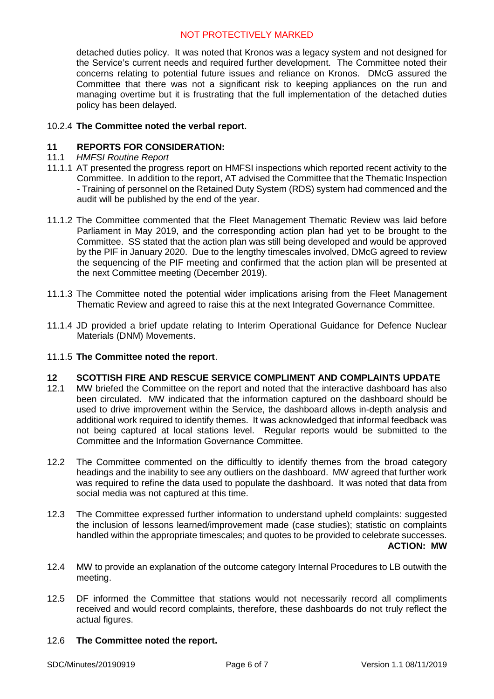detached duties policy. It was noted that Kronos was a legacy system and not designed for the Service's current needs and required further development. The Committee noted their concerns relating to potential future issues and reliance on Kronos. DMcG assured the Committee that there was not a significant risk to keeping appliances on the run and managing overtime but it is frustrating that the full implementation of the detached duties policy has been delayed.

# 10.2.4 **The Committee noted the verbal report.**

## **11 REPORTS FOR CONSIDERATION:**

- 11.1 *HMFSI Routine Report*
- 11.1.1 AT presented the progress report on HMFSI inspections which reported recent activity to the Committee. In addition to the report, AT advised the Committee that the Thematic Inspection - Training of personnel on the Retained Duty System (RDS) system had commenced and the audit will be published by the end of the year.
- 11.1.2 The Committee commented that the Fleet Management Thematic Review was laid before Parliament in May 2019, and the corresponding action plan had yet to be brought to the Committee. SS stated that the action plan was still being developed and would be approved by the PIF in January 2020. Due to the lengthy timescales involved, DMcG agreed to review the sequencing of the PIF meeting and confirmed that the action plan will be presented at the next Committee meeting (December 2019).
- 11.1.3 The Committee noted the potential wider implications arising from the Fleet Management Thematic Review and agreed to raise this at the next Integrated Governance Committee.
- 11.1.4 JD provided a brief update relating to Interim Operational Guidance for Defence Nuclear Materials (DNM) Movements.

## 11.1.5 **The Committee noted the report**.

# **12 SCOTTISH FIRE AND RESCUE SERVICE COMPLIMENT AND COMPLAINTS UPDATE**<br>12.1 MW briefed the Committee on the report and noted that the interactive dashboard has also

- MW briefed the Committee on the report and noted that the interactive dashboard has also been circulated. MW indicated that the information captured on the dashboard should be used to drive improvement within the Service, the dashboard allows in-depth analysis and additional work required to identify themes. It was acknowledged that informal feedback was not being captured at local stations level. Regular reports would be submitted to the Committee and the Information Governance Committee.
- 12.2 The Committee commented on the difficultly to identify themes from the broad category headings and the inability to see any outliers on the dashboard. MW agreed that further work was required to refine the data used to populate the dashboard. It was noted that data from social media was not captured at this time.
- 12.3 The Committee expressed further information to understand upheld complaints: suggested the inclusion of lessons learned/improvement made (case studies); statistic on complaints handled within the appropriate timescales; and quotes to be provided to celebrate successes. **ACTION: MW**
- 12.4 MW to provide an explanation of the outcome category Internal Procedures to LB outwith the meeting.
- 12.5 DF informed the Committee that stations would not necessarily record all compliments received and would record complaints, therefore, these dashboards do not truly reflect the actual figures.

## 12.6 **The Committee noted the report.**